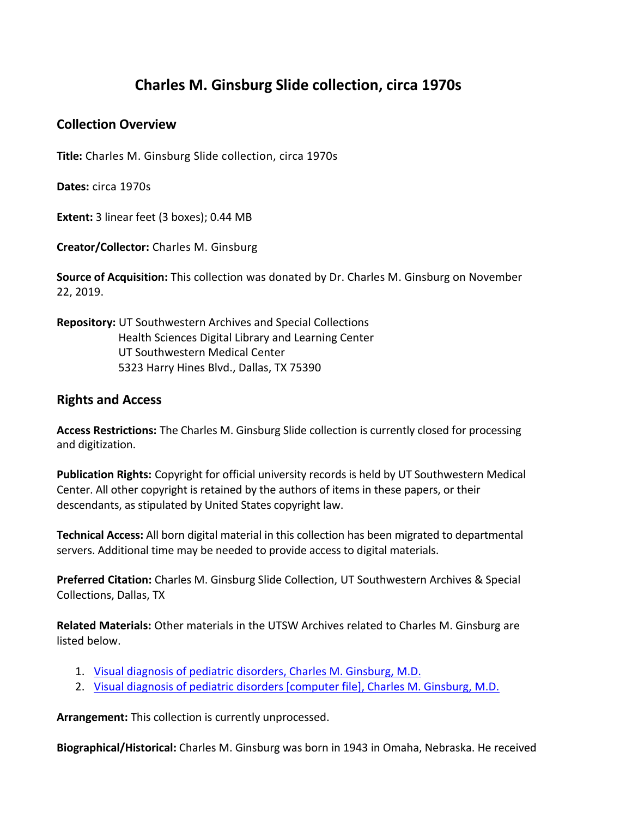## **Charles M. Ginsburg Slide collection, circa 1970s**

## **Collection Overview**

**Title:** Charles M. Ginsburg Slide collection, circa 1970s

**Dates:** circa 1970s

**Extent:** 3 linear feet (3 boxes); 0.44 MB

**Creator/Collector:** Charles M. Ginsburg

**Source of Acquisition:** This collection was donated by Dr. Charles M. Ginsburg on November 22, 2019.

## **Repository:** UT Southwestern Archives and Special Collections Health Sciences Digital Library and Learning Center UT Southwestern Medical Center 5323 Harry Hines Blvd., Dallas, TX 75390

## **Rights and Access**

**Access Restrictions:** The Charles M. Ginsburg Slide collection is currently closed for processing and digitization.

**Publication Rights:** Copyright for official university records is held by UT Southwestern Medical Center. All other copyright is retained by the authors of items in these papers, or their descendants, as stipulated by United States copyright law.

**Technical Access:** All born digital material in this collection has been migrated to departmental servers. Additional time may be needed to provide access to digital materials.

**Preferred Citation:** Charles M. Ginsburg Slide Collection, UT Southwestern Archives & Special Collections, Dallas, TX

**Related Materials:** Other materials in the UTSW Archives related to Charles M. Ginsburg are listed below.

- 1. [Visual diagnosis of pediatric disorders, Charles M. Ginsburg, M.D.](https://utswm.bywatersolutions.com/cgi-bin/koha/opac-detail.pl?biblionumber=1048781&query_desc=kw%2Cwrdl%3A%20WC%20100%20G49%201998)
- 2. [Visual diagnosis of pediatric disorders \[computer file\], Charles M. Ginsburg, M.D.](https://utswm.bywatersolutions.com/cgi-bin/koha/opac-detail.pl?biblionumber=75582&query_desc=kw%2Cwrdl%3A%20WC%20100%20G493V%201998)

**Arrangement:** This collection is currently unprocessed.

**Biographical/Historical:** Charles M. Ginsburg was born in 1943 in Omaha, Nebraska. He received